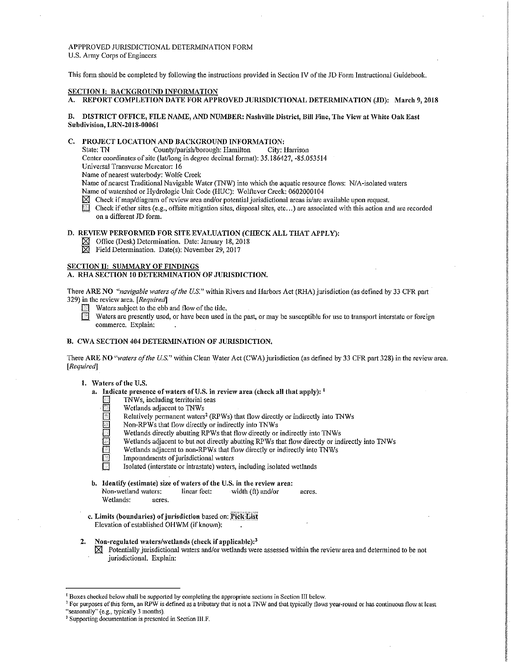# APPPROVED JURISDICTIONAL DETERMINATION FORM U.S. Anny Corps of Engineers

This form should be completed by following the instructions provided in Section IV of the JD Form Instructional Guidebook.

## SECTION I: BACKGROUND INFORMATION

A. REPORT COMPLETION DATE FOR APPROVED JURISDICTIONAL DETERMINATION (JD): March 9, 2018

## B. DISTRICT OFFICE, FILE NAME, AND NUMBER: Nashville District, Bill Fine, The View at White Oak East Subdivision, LRN-2018-00061

## C. PROJECT LOCATION AND BACKGROUND INFORMATION:

State: TN County/parish/borough: Hamilton City: Harrison

Center coordinates of site (lat/long in degree decimal format): 35.186427, -85.053514

Universal Transverse Mercator: 16

Name of nearest waterbody: Wolfe Creek

Name of nearest Traditional Navigable Water (TNW) into which the aquatic resource flows: N/A-isolated waters Name of watershed or Hydrologic Unit Code (HUC): Wolftever Creek: 0602000104

- $\boxtimes$  Check if map/diagram of review area and/or potential jurisdictional areas is/are available upon request.
- Check if other sites (e.g., offsite mitigation sites, disposal sites, etc...) are associated with this action and are recorded on a different JD form.

## D. REVIEW PERFORMED FOR SITE EVALUATION (CHECK ALL THAT APPLY):

- $\boxtimes$  Office (Desk) Determination. Date: January 18, 2018
- $\boxtimes$  Field Determination. Date(s): November 29, 2017

# SECTION II: SUMMARY OF FINDINGS

## A. RHA SECTION 10 DETERMINATION OF JURISDICTION.

There ARE NO *"navigable waters of the U.S."* within Rivers and Harbors Act (RHA) jurisdiction (as defined by 33 CFR part 329) in the revie\v area. *[Required]* 

- $\boxed{3}$  Waters subject to the ebb and flow of the tide.
- Waters are presently used, or have been used in the past, or may be susceptible for use to transport interstate or foreign commerce. Explain:

# B. CWA SECTION 404 DETERMINATION OF JURISDICTION.

There ARE NO "waters of the U.S." within Clean Water Act (CWA) jurisdiction (as defined by 33 CFR part 328) in the review area. *[Requiredj* 

## 1. Waters of the U.S.

- a. Indicate presence of waters of U.S. in review area (check all that apply):  $<sup>1</sup>$ </sup>
	- TNWs, including territorial seas
	-
	- Relatively permanent waters<sup>2</sup> (RPWs) that flow directly or indirectly into TNWs
	- Wetlands adjacent to TNWs<br>
	Relatively permanent waters<br>
	Non-RPWs that flow directly<br>
	Wetlands directly abutting R<br>
	Wetlands adjacent to but not<br>
	Wetlands adjacent to non-RF<br>
	Impoundments of jurisdiction Non-RPWs that flow directly or indirectly into TNWs
		- Wetlands directly abutting RPWs that flow directly or indirectly into TNWs
		- Wetlands adjacent to but not directly abutting RPWs that flow directly or indirectly into TNWs
		- Wetlands adjacent to non-RPWs that flow directly or indirectly into TNWs Impoundments of jurisdictional waters
		-
		- Isolated (interstate or intrastate) waters, including isolated wetlands
- b. Identify (estimate) size of waters of the U.S. in the review area:<br>Non-wetland waters: linear feet: width (ft) and/or Non-wetland waters: linear feet: width (ft) and/or acres. Wetlands: acres.
- c. Limits (boundaries) of jurisdiction based on: Pick List Elevation of established OHWM (if known):
- 2. Non-regulated waters/wetlands (check if applicable): $3$ 
	- $\boxtimes$  Potentially jurisdictional waters and/or wetlands were assessed within the review area and determined to be not jurisdictional. Explain:

 $<sup>i</sup>$  Boxes checked below shall be supported by completing the appropriate sections in Section III below.</sup>

<sup>&</sup>lt;sup>2</sup> For purposes of this form, an RPW is defined as a tributary that is not a TNW and that typically flows year-round or has continuous flow at least "seasonally" (e.g., typically 3 months).

<sup>&</sup>lt;sup>3</sup> Supporting documentation is presented in Section III.F.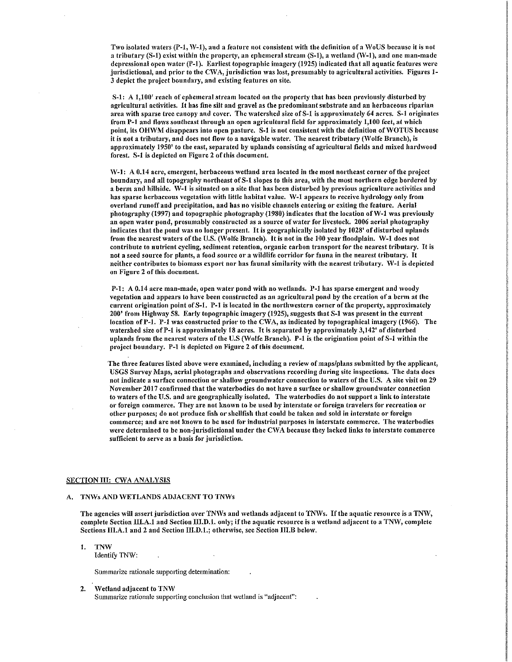Two isolated waters  $(P-1, W-1)$ , and a feature not consistent with the definition of a WoUS because it is not a tributary  $(S-1)$  exist within the property, an ephemeral stream  $(S-1)$ , a wetland ( $W-1$ ), and one man-made depressional open water (P-1). Earliest topographic imagery (1925) indicated that all aquatic features were jurisdictional, and prior to the CWA, jurisdiction was lost, presumably to agricultural activities. Figures 1-3 depict the project boundary, and existing features on site.

S-1: A 1,100' reach of ephemeral stream located on the property that has been previously disturbed by agricultural activities. It has fine silt and gravel as the predominant substrate and an herbaceous riparian area with sparse tree canopy and cover. The watershed size of S-1 is approximately 64 acres. S-1 originates from P-1 and flows southeast through an open agricultural field for approximately 1,100 feet, at which point, its OHWM disappears into open pasture. S-1 is not consistent with the definition of WOTUS because it is not a tributary, and does not flow to a navigable water. The nearest tributary (Wolfe Branch), is approximately 1950' to the east, separated by uplands consisting of agricultural fields and mixed hardwood forest. S-1 is depicted on Figure 2 of this document.

W-1: A 0.14 acre, emergent, herbaceous wetland area located in the most northeast corner of the project boundary, and all topography northeast of S-1 slopes to this area, with the most northern edge bordered by a berm and hillside. W-1 is situated on a site that has been disturbed by previous agriculture activities and has sparse herbaceous vegetation with little habitat value. W-1 appears to receive hydrology only from overland runoff and precipitation, and has no visible channels entering or exiting the feature. Aerial photography (1997) and topographic photography (1980) indicates that the location of W-1 was previously an open water pond, presumably constructed as a source of water for livestock. 2006 aerial photography indicates that the pond was no longer present. It is geographically isolated by 1028' of disturbed uplands from the nearest waters of the U.S. (Wolfe Branch). It is not in the 100 year floodplain. W-1 does not contribute to nutrient cycling, sediment retention, organic carbon transport for the nearest tributary. It is not a seed source for plants, a food source or a wildlife corridor for fauna in the nearest tributary. It neither contributes to biomass export nor has faunal similarity \vith the nearest tributary. \V-1 is depicted on Figure 2 of this document.

P-1: A 0.14 acre man-made, open water pond with no wetlands. P-1 has sparse emergent and woody vegetation and appears to have been constructed as an agricultural pond by the creation of a berm at the current origination point ofS-1. P-1 is located in the nortlnvestern corner of the property, approximately 200' from lliglnvay 58. Early topographic imagery (1925), suggests that S-1 \vas present in the current location of P-1. P-1 was constructed prior to the CWA, as indicated by topographical imagery (1966). The \vatershed size ofP-1 is approximately 18 acres. It is separated by approxhnately 3,142' of disturbed uplands from the nearest waters of the U.S (Wolfe Branch). P-1 is the origination point of S-1 within the project boundary. P-1 is depicted on Figure 2 of this document.

The three features listed above were examined, including a review of maps/plans submitted by the applicant, USGS Survey Maps, aerial photographs and observations recording during site inspections. The data does not indicate a surface connection or shallow groundwater connection to waters of the U.S. A site visit on 29 November 2017 confirmed that the waterbodies do not have a surface or shallow groundwater connection to waters of the U.S. and are geographically isolated. The waterbodies do not support a link to interstate or foreign commerce. They are not known to be used by interstate or foreign travelers for recreation or other purposes; do not produce fish or shellfish that could be taken and sold in interstate or foreign commerce; and arc not known to be used for industrial purposes in interstate commerce. The waterbodies were determined to be non-jurisdictional under the CWA because they lacked links to interstate commerce sufficient to serve as a basis for jurisdiction.

#### SECTION III: CWA ANALYSIS

## A. TNWs AND WETLANDS ADJACENT TO TNWs

The agencies will assert jurisdiction over TNWs and wetlands adjacent to TNWs. If the aquatic resource is a TNW, complete Section III.A.1 and Section III.D.1. only; if the aquatic resource is a wetland adjacent to a TNW, complete Sections III.A.1 and 2 and Section III.D.1.; otherwise, see Section III.B below.

l. TNW Identify TNW:

Summarize rationale supporting determination:

#### 2. Wetland adjacent to TNW

Summarize rationale supporting conclusion that wetland is "adjacent":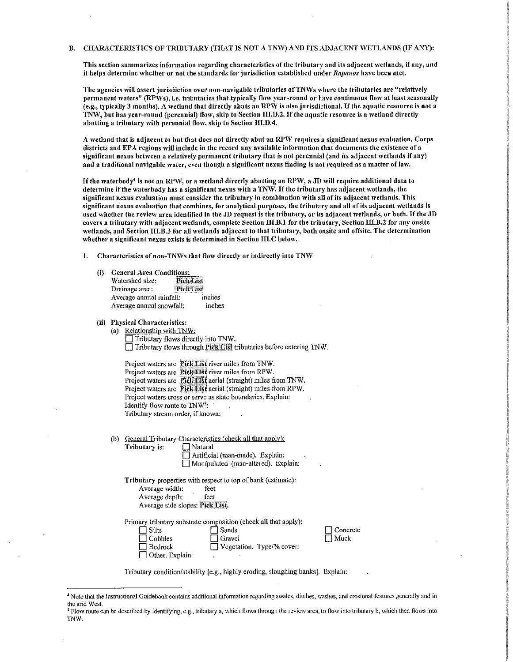#### B. CHARACTERISTICS OF TRIBUTARY (THAT IS NOT A TNW) AND ITS ADJACENT WETLANDS (IF ANY):

This section summarizes information regarding characteristics of the tributary and its adjacent wetlands, if any, and it helps dctern1inc 'vhcther or not the standards for jurisdiction established under *Rapanos* have been 1nct.

The agencies will assert jurisdiction over non-navigable tributaries of TNWs where the tributaries are "relatively permanent waters" (RPWs), i.e. tributaries that typically flow year-round or have continuous flow at least seasonally  $\hat{f}$ e.g., typically 3 months). A wetland that directly abuts an RPW is also jurisdictional. If the aquatic resource is not a TNW, but has year-round (perennial) flow, skip to Section III.D.2. If the aquatic resource is a wetland directly abutting a tributary with perennial flow, skip to Section III.D.4.

A wetland that is adjacent to but that does not directly abut an RPW requires a significant nexus evaluation. Corps districts and EPA regions will include in the record any available information that documents the existence of a significant nexus between a relatively permanent tributary that is not perennial (and its adjacent wetlands if any) and a traditional navigable water, even though a significant nexus finding is not required as a matter of law.

If the waterbody<sup>4</sup> is not an RPW, or a wetland directly abutting an RPW, a JD will require additional data to determine if the waterbody has a significant nexus with a TNW. If the tributary has adjacent wetlands, the significant nexus evaluation must consider the tributary in combination with all of its adjacent wetlands. This significant nexus evaluation that combines, for analytical purposes, the tributary and all of its adjacent 'vetlands is used whether the review area identified in the JD request is the tributary, or its adjacent wetlands, or both. If the JD covers a tributary with adjacent wetlands, complete Section III.B.1 for the tributary, Section III.B.2 for any onsite wetlands, and Section III.B.3 for all wetlands adjacent to that tributary, both onsite and offsite. The determination whether a significant nexus exists is determined in Section III.C below.

1. Characteristics of non-TNWs that flow directly or indirectly into TNW

- (i) General Area Conditions:<br>Watershed size: Pick List Watershed size: Drainage area: :\_P:icli;Li~~~ Average annual rainfall: inches Average annual snowfall: inches
- (ii) Physical Characteristics:
	- (a) Relationship \vith TNW: □ Tributary flows directly into *TNW*.<br>□ Tributary flows through **Pick LIS!** tributaries before entering TNW.

Project waters are Pick List river miles from TNW. Project waters are Pick List river miles from RPW. Project waters are Fick List aerial (straight) miles from TNW. Project waters are Pick List aerial (straight) miles from RPW. Project waters cross or serve as state boundaries. Explain: Identify flow route to  $TW^5$ : Tributary stream order, if known:

- (b) General Tributary Characteristics (check all that apply):
	- Tributary is:  $\Box$  Natural  $\Box$  Artificial (man-made). Explain:

|  | $\Box$                              |  |
|--|-------------------------------------|--|
|  | Manipulated (man-altered). Explain: |  |

Tributary properties with respect to top of bank (estimate): Average width: feet Average depth: feet Average side slopes: Pick List.

Primary tributary substrate composition (check all that apply):

| $\Box$ Silts           | $\Box$ Sands                     |  |
|------------------------|----------------------------------|--|
| $\Box$ Cobbles         | $\Box$ Gravel                    |  |
| $\Box$ Bedrock         | $\Box$ Vegetation. Type/% cover: |  |
| $\Box$ Other. Explain: |                                  |  |

 $\Box$  Concrete  $\Box$  Muck

Tributary condition/stability [e.g., highly eroding, sloughing banks]. Explain:

<sup>4</sup> Note that the Instructional Guidebook contains additional infonnation regarding swales, ditches, washes, and erosional features generally and in the arid West.

<sup>&</sup>lt;sup>5</sup> Flow route can be described by identifying, e.g., tributary a, which flows through the review area, to flow into tributary b, which then flows into TNW.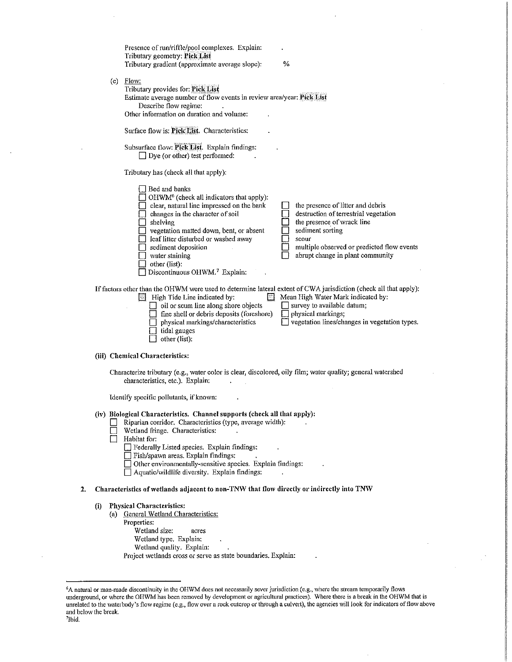|    |     | Presence of run/riffle/pool complexes. Explain:<br>Tributary geometry: Pick List<br>Tributary gradient (approximate average slope):                                                                                                                                                                                                                                                                    | %                                                                                                                                                                                                                                                                                                                                                                                                                                            |
|----|-----|--------------------------------------------------------------------------------------------------------------------------------------------------------------------------------------------------------------------------------------------------------------------------------------------------------------------------------------------------------------------------------------------------------|----------------------------------------------------------------------------------------------------------------------------------------------------------------------------------------------------------------------------------------------------------------------------------------------------------------------------------------------------------------------------------------------------------------------------------------------|
|    |     | $(c)$ Flow:<br>Tributary provides for: Pick List<br>Estimate average number of flow events in review area/year: Pick List<br>Describe flow regime:<br>Other information on duration and volume:                                                                                                                                                                                                        |                                                                                                                                                                                                                                                                                                                                                                                                                                              |
|    |     | Surface flow is: Pick List. Characteristics:                                                                                                                                                                                                                                                                                                                                                           |                                                                                                                                                                                                                                                                                                                                                                                                                                              |
|    |     | Subsurface flow: Pick List. Explain findings:<br>$\Box$ Dye (or other) test performed:                                                                                                                                                                                                                                                                                                                 |                                                                                                                                                                                                                                                                                                                                                                                                                                              |
|    |     | Tributary has (check all that apply):                                                                                                                                                                                                                                                                                                                                                                  |                                                                                                                                                                                                                                                                                                                                                                                                                                              |
|    |     | Bed and banks<br>OHWM <sup>6</sup> (check all indicators that apply):<br>clear, natural line impressed on the bank<br>changes in the character of soil<br>shelving<br>vegetation matted down, bent, or absent<br>leaf litter disturbed or washed away<br>sediment deposition<br>water staining<br>other (list):<br>Discontinuous OHWM. <sup>7</sup> Explain:                                           | the presence of litter and debris<br>destruction of terrestrial vegetation<br>the presence of wrack line<br>sediment sorting<br>scour<br>multiple observed or predicted flow events<br>abrupt change in plant community                                                                                                                                                                                                                      |
|    |     | $\Box$ High Tide Line indicated by:<br>oil or scum line along shore objects<br>fine shell or debris deposits (foreshore)<br>physical markings/characteristics<br>tidal gauges<br>other (list):                                                                                                                                                                                                         | survey to available datum;<br>physical markings;<br>vegetation lines/changes in vegetation types.                                                                                                                                                                                                                                                                                                                                            |
|    |     | (iii) Chemical Characteristics:                                                                                                                                                                                                                                                                                                                                                                        |                                                                                                                                                                                                                                                                                                                                                                                                                                              |
|    |     | characteristics, etc.). Explain:                                                                                                                                                                                                                                                                                                                                                                       |                                                                                                                                                                                                                                                                                                                                                                                                                                              |
|    |     | Identify specific pollutants, if known:                                                                                                                                                                                                                                                                                                                                                                |                                                                                                                                                                                                                                                                                                                                                                                                                                              |
|    |     | (iv) Biological Characteristics. Channel supports (check all that apply):<br>Riparian corridor. Characteristics (type, average width):<br>Wetland fringe. Characteristics:<br>Habitat for:<br>Federally Listed species. Explain findings:<br>Fish/spawn areas. Explain findings:<br>$\Box$ Other environmentally-sensitive species. Explain findings:<br>Aquatic/wildlife diversity. Explain findings: |                                                                                                                                                                                                                                                                                                                                                                                                                                              |
| 2. |     |                                                                                                                                                                                                                                                                                                                                                                                                        | If factors other than the OHWM were used to determine lateral extent of CWA jurisdiction (check all that apply):<br>Mean High Water Mark indicated by:<br>Characterize tributary (e.g., water color is clear, discolored, oily film; water quality; general watershed<br>Characteristics of wetlands adjacent to non-TNW that flow directly or indirectly into TNW<br>acres<br>Project wetlands cross or serve as state boundaries. Explain: |
|    | (i) | <b>Physical Characteristics:</b><br>(a) General Wetland Characteristics:<br>Properties:<br>Wetland size:<br>Wetland type. Explain:<br>Wetland quality. Explain:                                                                                                                                                                                                                                        |                                                                                                                                                                                                                                                                                                                                                                                                                                              |
|    |     |                                                                                                                                                                                                                                                                                                                                                                                                        |                                                                                                                                                                                                                                                                                                                                                                                                                                              |

 $\bar{z}$ 

<sup>6</sup> A natural or man-made discontinuity in the OHWM does not necessarily sever jurisdiction (e.g., \vhere the stream temporarily flows underground, or where the OHWM has been removed by development or agricultural practices). Where there is a break in the OHWM that is unrelated to the waterbody's flow regime (e.g., flow over a rock outcrop or through a culvert), the agencies will look for indicators of flow above and below the break.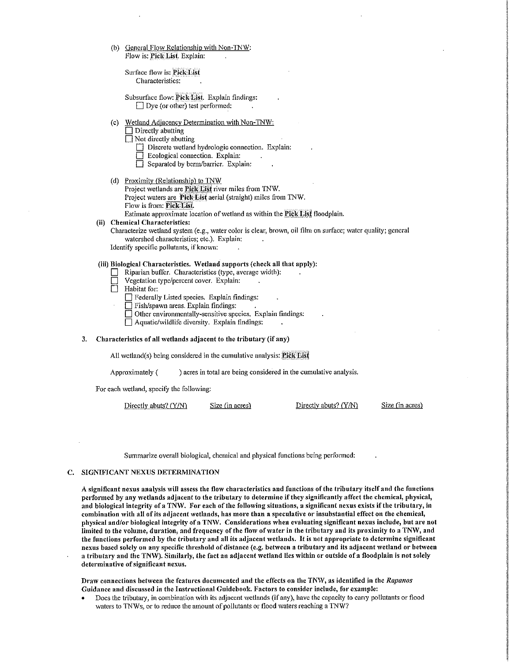(b) General Flow Relationship with Non-TNW: Flow is: Pick List. Explain:

Surface flow is: Pick List Characteristics:

- Subsurface flow: Pick List. Explain findings:  $\Box$  Dye (or other) test performed:
- (c) Wetland Adjacency Determination with Non~TNW:
	- $\Box$  Directly abutting
	- $\Box$  Not directly abutting
		- $\Box$  Discrete wetland hydrologic connection. Explain:
		- D Ecological connection. Explain:
		- $\Box$  Separated by berm/barrier. Explain:
- (d) Proximity (Relationship) to  $TNW$

Project wetlands are Pick List river miles from TNW. Project waters are Pick List aerial (straight) miles from TNW. Flow is from: Pick List.

Estimate approximate location of wetland as within the Pick List floodplain.

#### (ii) Chemical Characteristics:

Characterize wetland system (e.g., water color is clear, brown, oil film on surface; water quality; general watershed characteristics; etc.). Explain:

Identify specific pollutants, if known:

# (iii) Biological Characteristics. Wetland supports (check all that apply):

- $\Box$  Riparian buffer. Characteristics (type, average width):<br> $\Box$  Vegetation type/percent cover. Explain:
- $\Box$  Vegetation type/percent cover. Explain:<br>  $\Box$  Habitat for:
- Habitat for:

 $\Box$  Federally Listed species. Explain findings:

- $\Box$  Fish/spawn areas. Explain findings:
- Other environmentally-sensitive species. Explain findings:
- $\Box$  Aquatic/wildlife diversity. Explain findings:

#### 3. Characteristics of all wetlands adjacent to the tributary (if any)

All wetland(s) being considered in the cumulative analysis:  $PickList$ 

Approximately () acres in total are being considered in the cumulative analysis.

For each wetland, specify the following:

| Directly abuts? (Y/N) | Size (in acres) | Directly abuts? (Y/N) | Size (in acres) |
|-----------------------|-----------------|-----------------------|-----------------|
|-----------------------|-----------------|-----------------------|-----------------|

Summarize overall biological, chemical and physical functions being performed:

#### C. SIGNIFICANT NEXUS DETERMINATION

A significant nexus analysis will assess the flow characteristics and functions of the tributary itself and the functions performed by any wetlands adjacent to the tributary to determine if they significantly affect the chemical, physical, and biological integrity of a TNW. For each of the following situations, a significant nexus exists if the tributary, in combination with all of its adjacent wetlands, has more than a speculative or insubstantial effect on the chemical, physical and/or biological integrity of a TNW. Considerations when evaluating significant nexus include, but are not limited to the volume, duration, and frequency of the flow of water in the tributary and its proximity to a TNW, and the functions performed by the tributary and all its adjacent wetlands. It is not appropriate to determine significant nexus based solely on any specific threshold of distance (e.g. between a tributary and its adjacent wetland or between a tributary and the TNW). Similarly, the fact an adjacent wetland lies within or outside of a floodplain is not solely determinative of significant nexus.

Draw connections between the features documented and the effects on the TNW, as identified in the *Rapanos* Guidance and discussed in the Instructional Guidebook. Factors to consider include, for example:

Does the tributary, in combination with its adjacent wetlands (if any), have the capacity to carry pollutants or flood waters to TNWs, or to reduce the amount of pollutants or flood waters reaching a TNW?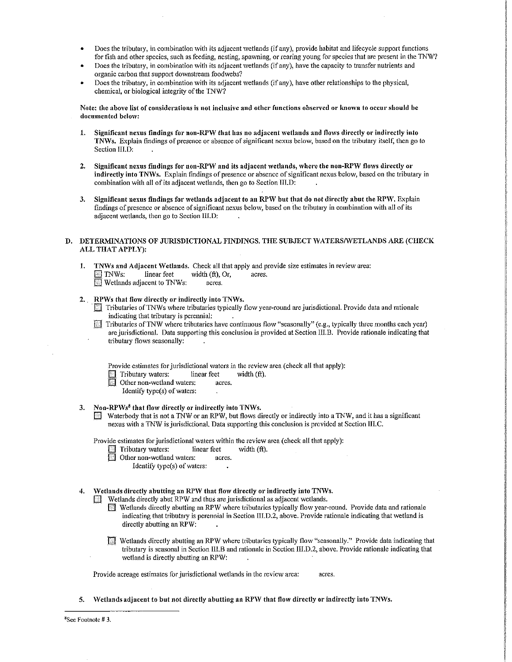- Does the tributary, in combination with its adjacent wetlands (if any), provide habitat and lifecycle support functions for fish and other species, such as feeding, nesting, spawning, or rearing young for species that are present in the TNW?
- Does the tributary, in combination with its adjacent wetlands (if any), have the capacity to transfer nutrients and organic carbon that support downstream foodwebs?
- Does the tributary, in combination with its adjacent \vetlands (if any), have other relationships to the physical, chemical, or biological integrity of the TNW?

Note: the above list of considerations is not inclusive and other functions observed or known to occur should be documented below:

- 1. Significant nexus findings for non-RPW that has no adjacent wetlands and flows directly or indirectly into TNWs. Explain findings of presence or absence of significant nexus below, based on the tributary itself, then go to Section III.D:
- 2. Significant nexus findings for non-RPW and its adjacent wetlands, where the non-RPW flows directly or indirectly into TNWs. Explain findings of presence or absence of significant nexus below, based on the tributary in combination with all of its adjacent wetlands, then go to Section UI.D:
- 3. Significant nexus findings for wetlands adjacent to an RPW but that do not directly abut the RPW, Explain findings of presence or absence of significant nexus below, based on the tributary in combination with all of its adjacent wetlands, then go to Section III.D:

# D. DETERMINATIONS OF JURISDICTIONAL FINDINGS. THE SUBJECT WATERS/WETLANDS ARE (CHECK ALL THAT APPLY):

- 1. TNWs and Adjacent Wetlands. Check all that apply and provide size estimates in review area:<br> $\Box$  TNWs: linear feet width (ft), Or, acres. width  $(ft)$ , Or, acres. **Wetlands adjacent to TNWs:** acres.
- 2. RPWs that flow directly or indirectly into TNWs.
	- $\Box$  Tributaries of TNWs where tributaries typically flow year-round are jurisdictional. Provide data and rationale indicating that tributary is perennial:
	- EI Tributaries ofTNW where tributaries have continuous flow "seasonally" (e.g., typically three months each year) are jurisdictional. Data supporting this conclusion is provided at Section III.B. Provide rationale indicating that tributary flows seasonally:

Provide estimates for jurisdictional waters in the review area (check all that apply):

- $\Box$  Tributary waters: linear feet width (ft).
- $\Box$  Other non-wetland waters: acres.
	- Identify type(s) of waters:
- 3. Non-RPWs<sup>8</sup> that flow directly or indirectly into TNWs.
	- [3 Waterbody that is not a TNW or an RPW, but flows directly or indirectly into a TNW, and it has a significant nexus with a TNW is jurisdictional. Data supporting this conclusion is provided at Section III.C.

Provide estimates for jurisdictional waters within the review area (check all that apply):

- $\Box$  Tributary waters: linear feet width (ft).
	- Other non-wetland waters: acres.
		- Identify type(s) of waters:
- 4. Wetlands directly abutting an RPW that flow directly or indirectly into TNWs.
	- Wetlands directly abut RPW and thus are jurisdictional as adjacent wetlands.
		- **Fi** Wetlands directly abutting an RPW where tributaries typically flow year-round. Provide data and rationale indicating that tributary is perennial in Section III.D.2, above. Provide rationale indicating that wetland is directly abutting an RPW:
		- $\Box$  Wetlands directly abutting an RPW where tributaries typically flow "seasonally." Provide data indicating that tributary is seasonal in Section III.B and rationale in Section III.D.2, above. Provide rationale indicating that wetland is directly abutting an RPW:

Provide acreage estimates for jurisdictional wetlands in the review area: acres.

5. Wetlands adjacent to but not directly abutting an RPW that flow directly or indirectly into TNWs.

8 Sce Footnote# 3.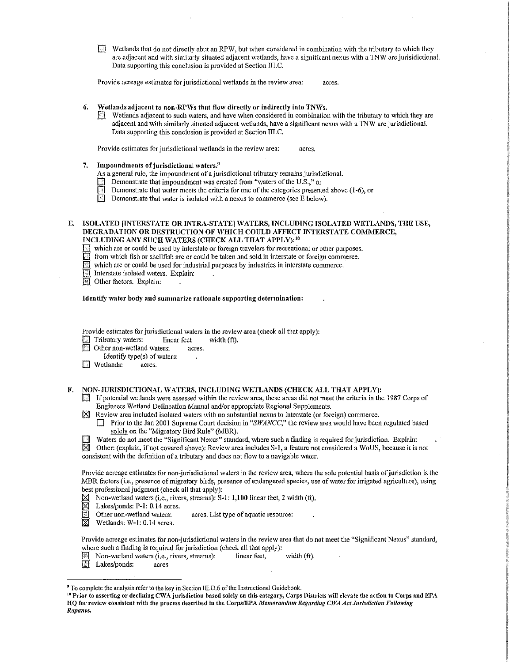$\overline{D}$  Wetlands that do not directly abut an RPW, but when considered in combination with the tributary to which they are adjacent and with similarly situated adjacent wetlands, have a significant nexus with a TNW are jurisidictional. Data supporting this conclusion is provided at Section III.C.

Provide acreage estimates for jurisdictional wetlands in the review area: acres.

## 6. Wetlands adjacent to non-RPWs that flow directly or indirectly into TNWs.

 $\Box$  Wetlands adjacent to such waters, and have when considered in combination with the tributary to which they are adjacent and with similarly situated adjacent wetlands, have a significant nexus with a TNW are jurisdictional. Data supporting this conclusion is provided at Section III.C.

Provide estimates for jurisdictional wetlands in the review area: acres.

## Impoundments of jurisdictional waters.<sup>9</sup>

As a general rule, the impoundment of a jurisdictional tributary remains jurisdictional.<br>
Demonstrate that impoundment was created from "waters of the U.S.." or

- Demonstrate that impoundment was created from "waters of the U.S.," or
- **EXECUTE:** Demonstrate that water meets the criteria for one of the categories presented above (1-6), or Demonstrate that water is isolated with a nexus to commerce (see E below).
- Demonstrate that water is isolated with a nexus to commerce (see E below).

E. ISOLATED [INTERSTATE OR INTRA-STATE] WATERS, INCLUDING ISOLATED WETLANDS, THE USE, DEGRADATION OR DESTRUCTION OF WHICH COULD AFFECT INTERSTATE COMMERCE, INCLUDING ANY SUCH WATERS (CHECK ALL THAT APPLY): <sup>10</sup>

 $\Box$  which are or could be used by interstate or foreign travelers for recreational or other purposes.

 $\Box$  from which fish or shellfish are or could be taken and sold in interstate or foreign commerce.<br>  $\Box$  which are or could be used for industrial purposes by industries in interstate commerce.<br>  $\Box$  Interstate isolated which are or could be used for industrial purposes by industries in interstate commerce.

Interstate isolated waters. Explain:

Other factors. Explain:

#### Identify water body and summarize rationale supporting determination:

Provide estimates for jurisdictional waters in the review area (check all that apply):

 $\Box$  Tributary waters: linear feet width (ft).

Other non-wetland waters: acres.

Identify type(s) of waters:<br>stlands: acres

**E** Wetlands:

F. NON-JURISDICTIONAL WATERS, INCLUDING WETLANDS (CHECK ALL THAT APPLY):

 $\Box$  If potential wetlands were assessed within the review area, these areas did not meet the criteria in the 1987 Corps of Engineers Wetland Delineation Manual and/or appropriate Regional Supplements.

 $\boxtimes$  Review area included isolated waters with no substantial nexus to interstate (or foreign) commerce.

- Prior to the Jan 2001 Supreme Court decision in "SWANCC," the review area would have been regulated based solely on the "Migratory Bird Rule" (MBR).
- Waters do not meet the "Significant Nexus" standard, where such a finding is required for jurisdiction. Explain:

\_!8]\_ Other: (explain, if not covered above): Review area includes S-1, a feature not considered a WoUS, because it is not consistent with the definition of a tributary and does not flow to a navigable water.

Provide acreage estimates for non-jurisdictional waters in the review area, where the sole potential basis of jurisdiction is the .MBR factors (i.e., presence of migratory birds, presence of endangered species, use of water for irrigated agriculture), using best professional judgment (check all that apply):

- Non-wetland waters (i.e., rivers, streams):  $S-1$ : 1,100 linear feet, 2 width (ft).
- Lakes/ponds: P-1: 0.14 acres.
- Other non-wetland waters: acres. List type of aquatic resource:  $\overline{\boxtimes}$  Wetlands: W-1: 0.14 acres.
- Wetlands: W-1: 0.14 acres.

Provide acreage estimates for non-jurisdictional waters in the review area that do not meet the "Significant Nexus" standard, where such a finding is required for jurisdiction (check all that apply):

- Solution-wetland waters (i.e., rivers, streams): linear feet, width (ft).
- Lakes/ponds: acres.

<sup>&</sup>lt;sup>9</sup> To complete the analysis refer to the key in Section III.D.6 of the Instructional Guidebook.<br><sup>10</sup> Prior to asserting or declining CWA jurisdiction based solely on this category, Corps Districts will elevate the action HQ for review consistent with the process described in the Corps/EPA *Memorandum Regarding CWA Act Jurisdiction Following* Rapanos.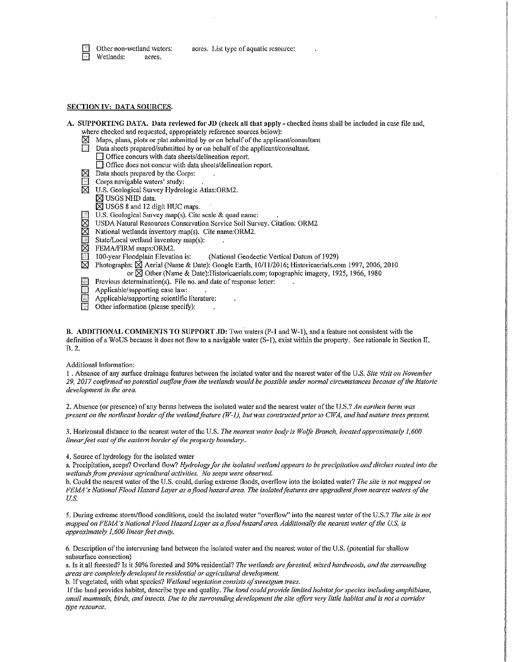Other non-wetland waters: acres. List type of aquatic resource:



#### SECTION IV: DATA SOURCES.

- A. SUPPORTING DATA. Data reviewed for JD (check all that apply checked items shall be included in case file and, where checked and requested, appropriately reference sources below):
	- Maps, plans, plots or plat submitted by or on behalf of the applicant/consultant
	- Data sheets prepared/submitted by or on behalf of the applicant/consultant.
	- $\Box$  Office concurs with data sheets/delineation report.  $\Box$  Office does not concur with data sheets/delineation report.
	- $\boxtimes$  Data sheets prepared by the Corps:
	-
	- $\Box$  Corps navigable waters' study:<br> $\Box$  U.S. Geological Survey Hydrol U.S. Geological Survey Hydrologic Atlas:ORM2.
	- $\boxtimes$  USGS NHD data.
	- $\overline{8}$  USGS 8 and 12 digit HUC maps.
	-
	- U.S. Geological Survey map(s). Cite scale & quad name:<br>  $\boxtimes$  USDA Natural Resources Conservation Service Soil Surv <p>✓ USDA Natural Resources Conservation Service Solid Survey. citation: ORM2</p>\n<p>National wetlands inventory map(s). Cite name: ORM2.</p>\n<p>✓ State/Local wetland inventory map(s):</p>\n<p>✓ FEMA/FIRM maps:ORM2.</p>
	- National wetlands inventory map(s). Cite name:ORM2.
	- State/Local wetland inventory map(s):
	- FEMA/FIRM maps:ORM2.
	- [i] 100-year Floodplain Elevation is: (National Geodectic Vertical Datum of 1929)<br>
	M Photographs: M Aerial (Name & Date): Google Earth, 10/11/2016: Historicaerials.co
		- Photographs:  $\boxtimes$  Aerial (Name & Date): Google Earth, 10/11/2016; Historicaerials.com 1997, 2006, 2010
		- or  $\boxtimes$  Other (Name & Date):Historicaerials.com; topographic imagery, 1925, 1966, 1980
	- Previous determination(s). File no. and date of response letter:<br> $\Box$  Applicable/supporting case law:
	- Applicable/supporting case law:
	- Applicable/supporting scientific literature:
	- Other information (please specify):

B. ADDITIONAL COMMENTS TO SUPPORT JD: Two waters (P-1 and W-1), and a feature not consistent with the definition of a WoUS because it does not flow to a navigable water (S-1), exist within the property. See rationale in Section II. B.2.

## Additional Information:

1 . Absence of any surface drainage features between the isolated water and the nearest water of the U.S. *Site visit on November* 29, 2017 confirmed no potential outflow from the wetlands would be possible under normal circumstances because of the historic *development in the area.* 

2. Absence (or presence) of any berms between the isolated water and the nearest water of the U.S.? *An earthen berm was* present on the northeast border of the wetland feature (W-1), but was constructed prior to CWA, and had mature trees present.

3. Horizontal distance to the nearest water of the U.S. *The nearest water body is Wolfe Branch, located approximately 1,600 linear feet east of the eastern border of the property boundary ..* 

#### 4, Source of hydrology for the isolated water

a. Precipitation, seeps? Overland flow? *Hydrology for the isolated wetland appears to be precipitation and ditches routed into the wetlands from previous agricultural activities. No seeps were observed.* 

b. Could the nearest water of the U.S. could, during extreme floods, overflow into the isolated water? *The site is not mapped on FElvJA 's National Flood Hazard Layer as a flood hazard area. 17te isolated features are upgradient from nearest waters of the*  U.S.

5. During extreme stonn/flood conditions, could the isolated water "overflow" into the nearest water of the U.S.? *The site is not mapped on FEMA's National Flood Hazard Layer as a flood hazard area. Additionally the nearest water of the U.S. is approximately 1,600 linear feet away.* 

6. Description of the intervening land between the isolated water and the nearest water of the U.S. (potential for shallow subsurface connection)

a. Is it all forested? Is it 50% forested and 50% residential? *The wetlands are forested, mixed hardwoods, and the surrounding areas are completely developed in residential or agricultural development.* 

b. If vegetated, with 'vhat species? *fVetland vegetation consists of sweetgum trees.* 

If the land provides habitat, describe type and quality. *The land could provide limited habitat for species including amphibians*, *s1nall 1nam1nals, birds, and insects. Due to the surrounding development the site offers very little habitat and is not a corridor type resource.*